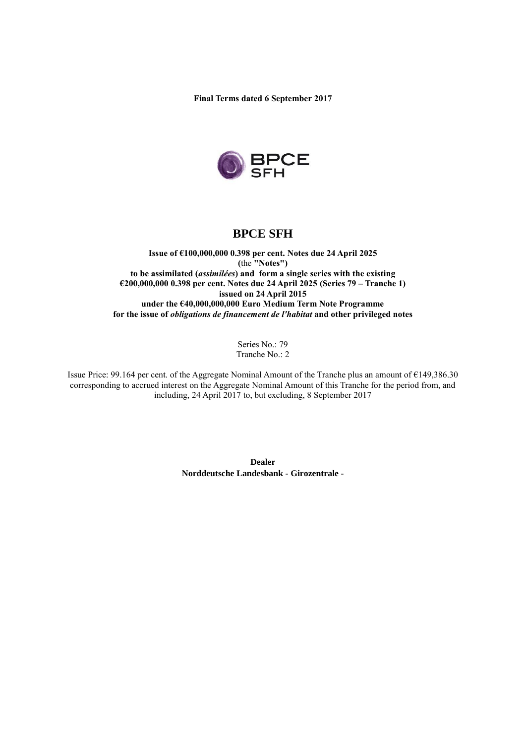**Final Terms dated 6 September 2017**



# **BPCE SFH**

**Issue of €100,000,000 0.398 per cent. Notes due 24 April 2025 (**the **"Notes") to be assimilated (***assimilées***) and form a single series with the existing €200,000,000 0.398 per cent. Notes due 24 April 2025 (Series 79 – Tranche 1) issued on 24 April 2015 under the €40,000,000,000 Euro Medium Term Note Programme for the issue of** *obligations de financement de l'habitat* **and other privileged notes**

> Series No.: 79 Tranche No.: 2

Issue Price: 99.164 per cent. of the Aggregate Nominal Amount of the Tranche plus an amount of €149,386.30 corresponding to accrued interest on the Aggregate Nominal Amount of this Tranche for the period from, and including, 24 April 2017 to, but excluding, 8 September 2017

> **Dealer Norddeutsche Landesbank - Girozentrale -**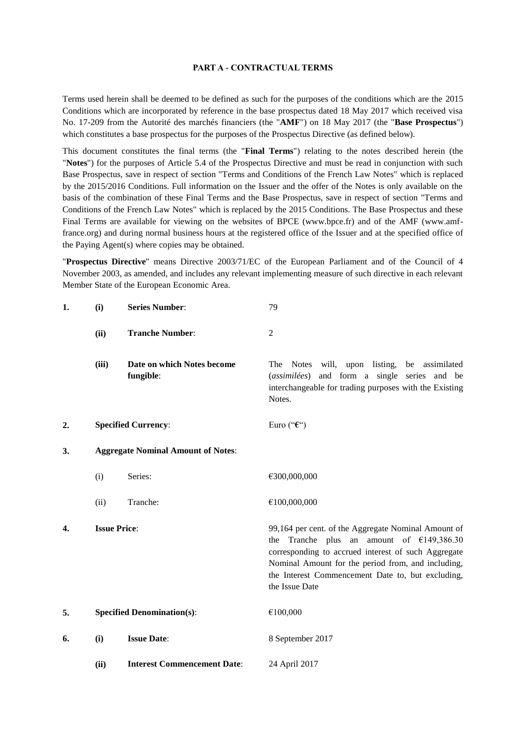#### **PART A - CONTRACTUAL TERMS**

Terms used herein shall be deemed to be defined as such for the purposes of the conditions which are the 2015 Conditions which are incorporated by reference in the base prospectus dated 18 May 2017 which received visa No. 17-209 from the Autorité des marchés financiers (the "**AMF**") on 18 May 2017 (the "**Base Prospectus**") which constitutes a base prospectus for the purposes of the Prospectus Directive (as defined below).

This document constitutes the final terms (the "**Final Terms**") relating to the notes described herein (the "**Notes**") for the purposes of Article 5.4 of the Prospectus Directive and must be read in conjunction with such Base Prospectus, save in respect of section "Terms and Conditions of the French Law Notes" which is replaced by the 2015/2016 Conditions. Full information on the Issuer and the offer of the Notes is only available on the basis of the combination of these Final Terms and the Base Prospectus, save in respect of section "Terms and Conditions of the French Law Notes" which is replaced by the 2015 Conditions. The Base Prospectus and these Final Terms are available for viewing on the websites of BPCE (www.bpce.fr) and of the AMF (www.amffrance.org) and during normal business hours at the registered office of the Issuer and at the specified office of the Paying Agent(s) where copies may be obtained.

"**Prospectus Directive**" means Directive 2003/71/EC of the European Parliament and of the Council of 4 November 2003, as amended, and includes any relevant implementing measure of such directive in each relevant Member State of the European Economic Area.

| 1. | (i)                                       | <b>Series Number:</b>                   | 79                                                                                                                                                                                                                                                                                     |
|----|-------------------------------------------|-----------------------------------------|----------------------------------------------------------------------------------------------------------------------------------------------------------------------------------------------------------------------------------------------------------------------------------------|
|    | (ii)                                      | <b>Tranche Number:</b>                  | $\mathfrak{2}$                                                                                                                                                                                                                                                                         |
|    | (iii)                                     | Date on which Notes become<br>fungible: | will, upon listing,<br>Notes<br>be assimilated<br>The<br>(assimilées) and form a single series and be<br>interchangeable for trading purposes with the Existing<br>Notes.                                                                                                              |
| 2. |                                           | <b>Specified Currency:</b>              | Euro (" $\epsilon$ ")                                                                                                                                                                                                                                                                  |
| 3. | <b>Aggregate Nominal Amount of Notes:</b> |                                         |                                                                                                                                                                                                                                                                                        |
|    | (i)                                       | Series:                                 | €300,000,000                                                                                                                                                                                                                                                                           |
|    | (ii)                                      | Tranche:                                | €100,000,000                                                                                                                                                                                                                                                                           |
| 4. | <b>Issue Price:</b>                       |                                         | 99,164 per cent. of the Aggregate Nominal Amount of<br>the Tranche plus an amount of $£149,386.30$<br>corresponding to accrued interest of such Aggregate<br>Nominal Amount for the period from, and including,<br>the Interest Commencement Date to, but excluding,<br>the Issue Date |
| 5. |                                           | <b>Specified Denomination(s):</b>       | €100,000                                                                                                                                                                                                                                                                               |
| 6. | (i)                                       | <b>Issue Date:</b>                      | 8 September 2017                                                                                                                                                                                                                                                                       |
|    | (ii)                                      | <b>Interest Commencement Date:</b>      | 24 April 2017                                                                                                                                                                                                                                                                          |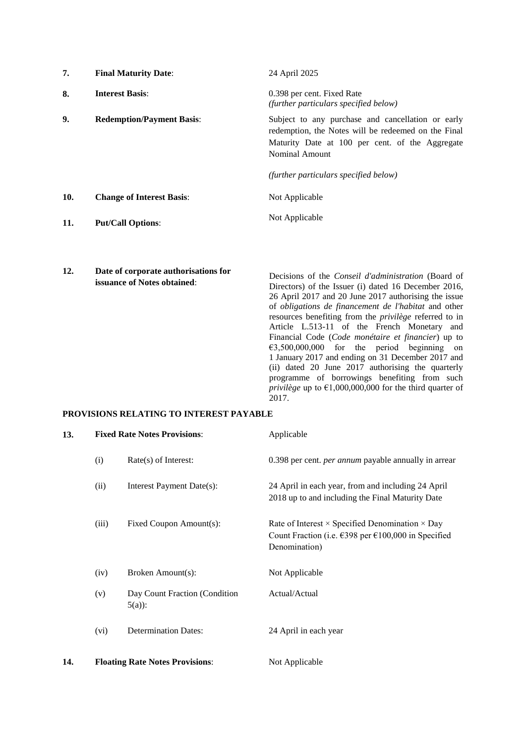| 7.  | <b>Final Maturity Date:</b>                                         | 24 April 2025                                                                                                                                                                                                                                                                                                                                                                                                                                                       |
|-----|---------------------------------------------------------------------|---------------------------------------------------------------------------------------------------------------------------------------------------------------------------------------------------------------------------------------------------------------------------------------------------------------------------------------------------------------------------------------------------------------------------------------------------------------------|
| 8.  | <b>Interest Basis:</b>                                              | 0.398 per cent. Fixed Rate<br>(further particulars specified below)                                                                                                                                                                                                                                                                                                                                                                                                 |
| 9.  | <b>Redemption/Payment Basis:</b>                                    | Subject to any purchase and cancellation or early<br>redemption, the Notes will be redeemed on the Final<br>Maturity Date at 100 per cent. of the Aggregate<br>Nominal Amount                                                                                                                                                                                                                                                                                       |
|     |                                                                     | (further particulars specified below)                                                                                                                                                                                                                                                                                                                                                                                                                               |
| 10. | <b>Change of Interest Basis:</b>                                    | Not Applicable                                                                                                                                                                                                                                                                                                                                                                                                                                                      |
| 11. | <b>Put/Call Options:</b>                                            | Not Applicable                                                                                                                                                                                                                                                                                                                                                                                                                                                      |
| 12. | Date of corporate authorisations for<br>issuance of Notes obtained: | Decisions of the <i>Conseil d'administration</i> (Board of<br>Directors) of the Issuer (i) dated 16 December 2016,<br>26 April 2017 and 20 June 2017 authorising the issue<br>of <i>obligations de financement de l'habitat</i> and other<br>resources benefiting from the <i>privilège</i> referred to in<br>Article L.513-11 of the French Monetary and<br>Financial Code (Code monétaire et financier) up to<br>€3,500,000,000<br>for the period beginning<br>on |

1 January 2017 and ending on 31 December 2017 and (ii) dated 20 June 2017 authorising the quarterly programme of borrowings benefiting from such *privilège* up to €1,000,000,000 for the third quarter of

2017. **PROVISIONS RELATING TO INTEREST PAYABLE**

| 13. | <b>Fixed Rate Notes Provisions:</b> |                                           | Applicable                                                                                                                                                |  |
|-----|-------------------------------------|-------------------------------------------|-----------------------------------------------------------------------------------------------------------------------------------------------------------|--|
|     | (i)                                 | $Rate(s)$ of Interest:                    | 0.398 per cent. <i>per annum</i> payable annually in arrear                                                                                               |  |
|     | (ii)                                | Interest Payment Date(s):                 | 24 April in each year, from and including 24 April<br>2018 up to and including the Final Maturity Date                                                    |  |
|     | (iii)                               | Fixed Coupon Amount(s):                   | Rate of Interest $\times$ Specified Denomination $\times$ Day<br>Count Fraction (i.e. $\epsilon$ 398 per $\epsilon$ 100,000 in Specified<br>Denomination) |  |
|     | (iv)                                | Broken Amount(s):                         | Not Applicable                                                                                                                                            |  |
|     | (v)                                 | Day Count Fraction (Condition<br>$5(a)$ : | Actual/Actual                                                                                                                                             |  |
|     | (vi)                                | <b>Determination Dates:</b>               | 24 April in each year                                                                                                                                     |  |
| 14. |                                     | <b>Floating Rate Notes Provisions:</b>    | Not Applicable                                                                                                                                            |  |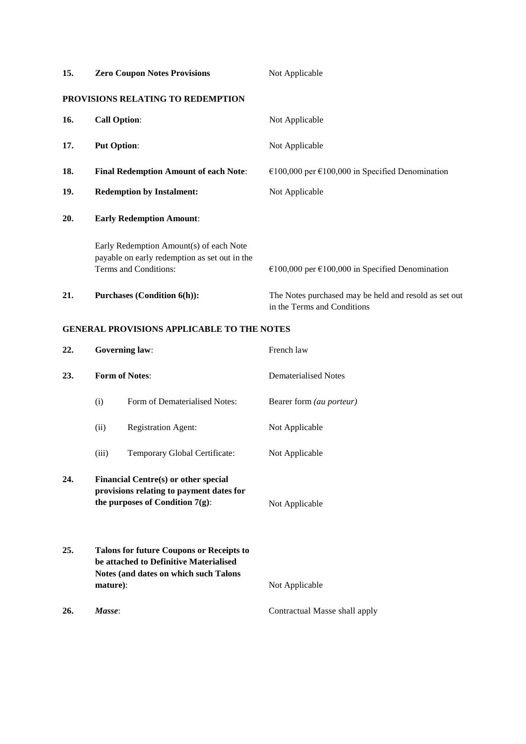| 15. | <b>Zero Coupon Notes Provisions</b>                                                                               | Not Applicable                                                                       |
|-----|-------------------------------------------------------------------------------------------------------------------|--------------------------------------------------------------------------------------|
|     | PROVISIONS RELATING TO REDEMPTION                                                                                 |                                                                                      |
| 16. | <b>Call Option:</b><br>Not Applicable                                                                             |                                                                                      |
| 17. | <b>Put Option:</b>                                                                                                | Not Applicable                                                                       |
| 18. | <b>Final Redemption Amount of each Note:</b>                                                                      | €100,000 per €100,000 in Specified Denomination                                      |
| 19. | <b>Redemption by Instalment:</b>                                                                                  | Not Applicable                                                                       |
| 20. | <b>Early Redemption Amount:</b>                                                                                   |                                                                                      |
|     | Early Redemption Amount(s) of each Note<br>payable on early redemption as set out in the<br>Terms and Conditions: | €100,000 per €100,000 in Specified Denomination                                      |
| 21. | <b>Purchases (Condition 6(h)):</b>                                                                                | The Notes purchased may be held and resold as set out<br>in the Terms and Conditions |

### **GENERAL PROVISIONS APPLICABLE TO THE NOTES**

| 22. |          | <b>Governing law:</b>                                                                                                              | French law                    |
|-----|----------|------------------------------------------------------------------------------------------------------------------------------------|-------------------------------|
| 23. |          | <b>Form of Notes:</b>                                                                                                              | Dematerialised Notes          |
|     | (i)      | Form of Dematerialised Notes:                                                                                                      | Bearer form (au porteur)      |
|     | (ii)     | <b>Registration Agent:</b>                                                                                                         | Not Applicable                |
|     | (iii)    | Temporary Global Certificate:                                                                                                      | Not Applicable                |
| 24. |          | Financial Centre(s) or other special<br>provisions relating to payment dates for<br>the purposes of Condition $7(g)$ :             | Not Applicable                |
| 25. | mature): | <b>Talons for future Coupons or Receipts to</b><br>be attached to Definitive Materialised<br>Notes (and dates on which such Talons | Not Applicable                |
| 26. | Masse:   |                                                                                                                                    | Contractual Masse shall apply |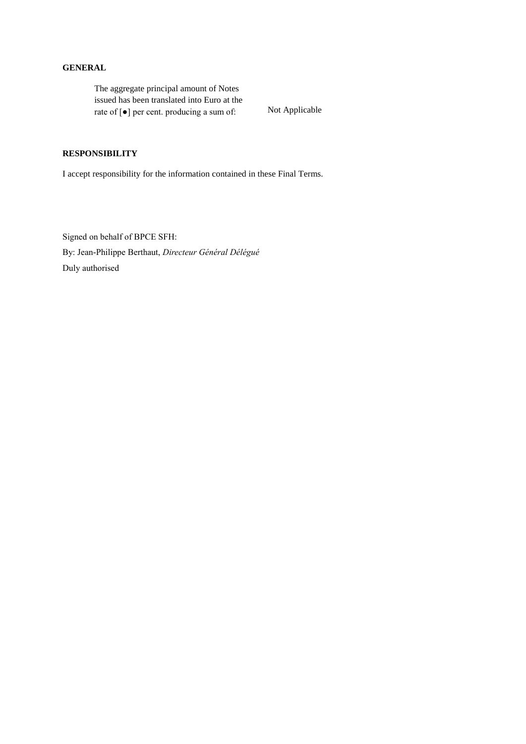### **GENERAL**

The aggregate principal amount of Notes issued has been translated into Euro at the rate of [●] per cent. producing a sum of: Not Applicable

## **RESPONSIBILITY**

I accept responsibility for the information contained in these Final Terms.

Signed on behalf of BPCE SFH: By: Jean-Philippe Berthaut, *Directeur Général Délégué* Duly authorised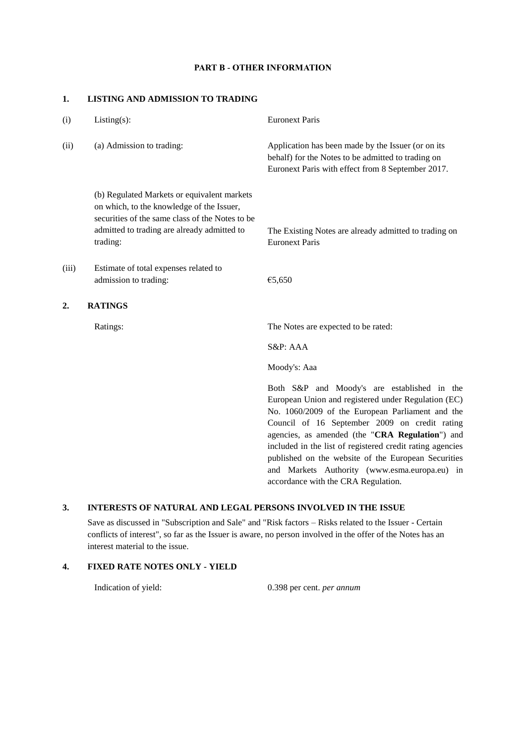#### **PART B - OTHER INFORMATION**

#### **1. LISTING AND ADMISSION TO TRADING**

| (i)              | $Listing(s)$ :                                                                                                                                                                                         | <b>Euronext Paris</b>                                                                                                                                                                                                                                                                                                                                                                                                           |
|------------------|--------------------------------------------------------------------------------------------------------------------------------------------------------------------------------------------------------|---------------------------------------------------------------------------------------------------------------------------------------------------------------------------------------------------------------------------------------------------------------------------------------------------------------------------------------------------------------------------------------------------------------------------------|
| (ii)             | (a) Admission to trading:                                                                                                                                                                              | Application has been made by the Issuer (or on its<br>behalf) for the Notes to be admitted to trading on<br>Euronext Paris with effect from 8 September 2017.                                                                                                                                                                                                                                                                   |
|                  | (b) Regulated Markets or equivalent markets<br>on which, to the knowledge of the Issuer,<br>securities of the same class of the Notes to be<br>admitted to trading are already admitted to<br>trading: | The Existing Notes are already admitted to trading on<br><b>Euronext Paris</b>                                                                                                                                                                                                                                                                                                                                                  |
| (iii)            | Estimate of total expenses related to<br>admission to trading:                                                                                                                                         | €5,650                                                                                                                                                                                                                                                                                                                                                                                                                          |
| $\overline{2}$ . | <b>RATINGS</b>                                                                                                                                                                                         |                                                                                                                                                                                                                                                                                                                                                                                                                                 |
|                  | Ratings:                                                                                                                                                                                               | The Notes are expected to be rated:                                                                                                                                                                                                                                                                                                                                                                                             |
|                  |                                                                                                                                                                                                        | S&P: AAA                                                                                                                                                                                                                                                                                                                                                                                                                        |
|                  |                                                                                                                                                                                                        | Moody's: Aaa                                                                                                                                                                                                                                                                                                                                                                                                                    |
|                  |                                                                                                                                                                                                        | Both S&P and Moody's are established in the<br>European Union and registered under Regulation (EC)<br>No. 1060/2009 of the European Parliament and the<br>Council of 16 September 2009 on credit rating<br>agencies, as amended (the "CRA Regulation") and<br>included in the list of registered credit rating agencies<br>published on the website of the European Securities<br>and Markets Authority (www.esma.europa.eu) in |

#### **3. INTERESTS OF NATURAL AND LEGAL PERSONS INVOLVED IN THE ISSUE**

Save as discussed in "Subscription and Sale" and "Risk factors – Risks related to the Issuer - Certain conflicts of interest", so far as the Issuer is aware, no person involved in the offer of the Notes has an interest material to the issue.

## **4. FIXED RATE NOTES ONLY - YIELD**

Indication of yield: 0.398 per cent. *per annum*

accordance with the CRA Regulation.